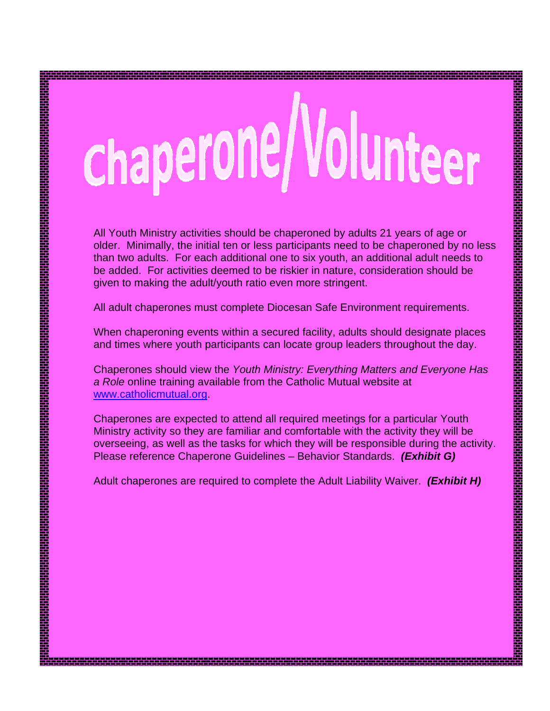# chaperone/Volunteer

All Youth Ministry activities should be chaperoned by adults 21 years of age or older. Minimally, the initial ten or less participants need to be chaperoned by no less than two adults. For each additional one to six youth, an additional adult needs to be added. For activities deemed to be riskier in nature, consideration should be given to making the adult/youth ratio even more stringent.

All adult chaperones must complete Diocesan Safe Environment requirements.

rin alam kan dan tahun dalam kan tahun tahun 1999 yang berasa dalam kan tahun tahun dalam tahun tahun tahun ta

When chaperoning events within a secured facility, adults should designate places and times where youth participants can locate group leaders throughout the day.

Chaperones should view the *Youth Ministry: Everything Matters and Everyone Has a Role* online training available from the Catholic Mutual website at www.catholicmutual.org.

Chaperones are expected to attend all required meetings for a particular Youth Ministry activity so they are familiar and comfortable with the activity they will be overseeing, as well as the tasks for which they will be responsible during the activity. Please reference Chaperone Guidelines – Behavior Standards. *(Exhibit G)*

Adult chaperones are required to complete the Adult Liability Waiver. *(Exhibit H)*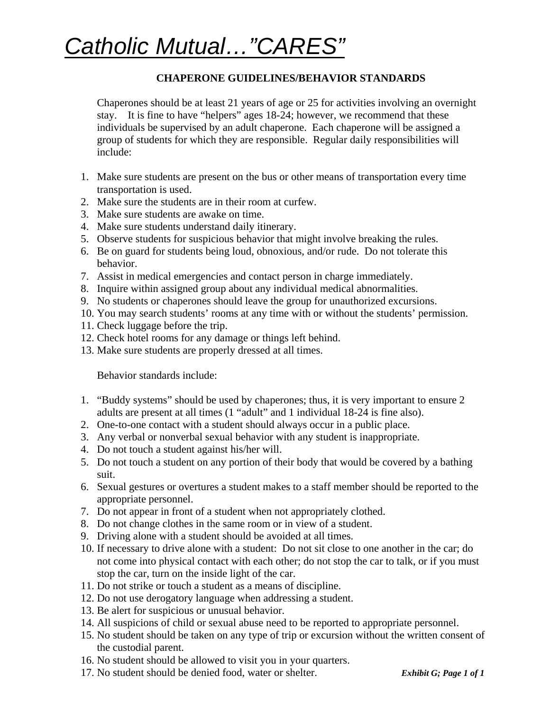# *Catholic Mutual…"CARES"*

#### **CHAPERONE GUIDELINES/BEHAVIOR STANDARDS**

Chaperones should be at least 21 years of age or 25 for activities involving an overnight stay. It is fine to have "helpers" ages 18-24; however, we recommend that these individuals be supervised by an adult chaperone. Each chaperone will be assigned a group of students for which they are responsible. Regular daily responsibilities will include:

- 1. Make sure students are present on the bus or other means of transportation every time transportation is used.
- 2. Make sure the students are in their room at curfew.
- 3. Make sure students are awake on time.
- 4. Make sure students understand daily itinerary.
- 5. Observe students for suspicious behavior that might involve breaking the rules.
- 6. Be on guard for students being loud, obnoxious, and/or rude. Do not tolerate this behavior.
- 7. Assist in medical emergencies and contact person in charge immediately.
- 8. Inquire within assigned group about any individual medical abnormalities.
- 9. No students or chaperones should leave the group for unauthorized excursions.
- 10. You may search students' rooms at any time with or without the students' permission.
- 11. Check luggage before the trip.
- 12. Check hotel rooms for any damage or things left behind.
- 13. Make sure students are properly dressed at all times.

Behavior standards include:

- 1. "Buddy systems" should be used by chaperones; thus, it is very important to ensure 2 adults are present at all times (1 "adult" and 1 individual 18-24 is fine also).
- 2. One-to-one contact with a student should always occur in a public place.
- 3. Any verbal or nonverbal sexual behavior with any student is inappropriate.
- 4. Do not touch a student against his/her will.
- 5. Do not touch a student on any portion of their body that would be covered by a bathing suit.
- 6. Sexual gestures or overtures a student makes to a staff member should be reported to the appropriate personnel.
- 7. Do not appear in front of a student when not appropriately clothed.
- 8. Do not change clothes in the same room or in view of a student.
- 9. Driving alone with a student should be avoided at all times.
- 10. If necessary to drive alone with a student: Do not sit close to one another in the car; do not come into physical contact with each other; do not stop the car to talk, or if you must stop the car, turn on the inside light of the car.
- 11. Do not strike or touch a student as a means of discipline.
- 12. Do not use derogatory language when addressing a student.
- 13. Be alert for suspicious or unusual behavior.
- 14. All suspicions of child or sexual abuse need to be reported to appropriate personnel.
- 15. No student should be taken on any type of trip or excursion without the written consent of the custodial parent.
- 16. No student should be allowed to visit you in your quarters.
- 17. No student should be denied food, water or shelter. *Exhibit G; Page 1 of 1*